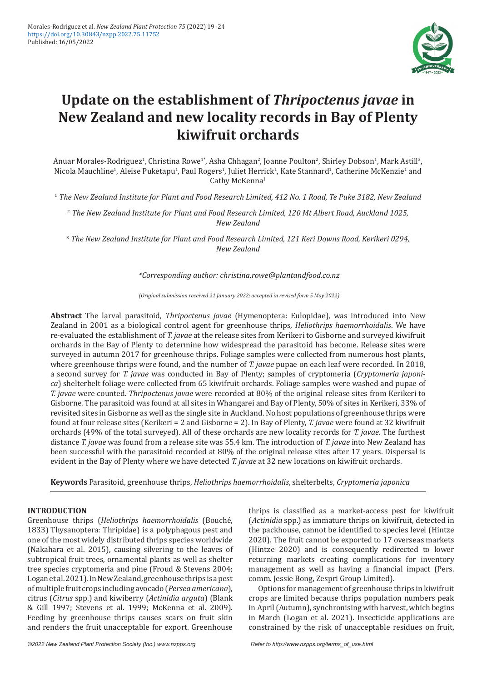

# **Update on the establishment of** *Thripoctenus javae* **in New Zealand and new locality records in Bay of Plenty kiwifruit orchards**

Anuar Morales-Rodriguez<sup>1</sup>, Christina Rowe<sup>1</sup>\*, Asha Chhagan<sup>2</sup>, Joanne Poulton<sup>2</sup>, Shirley Dobson<sup>1</sup>, Mark Astill<sup>3</sup>, Nicola Mauchline<sup>1</sup>, Aleise Puketapu<sup>1</sup>, Paul Rogers<sup>1</sup>, Juliet Herrick<sup>1</sup>, Kate Stannard<sup>1</sup>, Catherine McKenzie<sup>1</sup> and Cathy McKenna<sup>1</sup>

1  *The New Zealand Institute for Plant and Food Research Limited, 412 No. 1 Road, Te Puke 3182, New Zealand* 

2  *The New Zealand Institute for Plant and Food Research Limited, 120 Mt Albert Road, Auckland 1025, New Zealand*

3  *The New Zealand Institute for Plant and Food Research Limited, 121 Keri Downs Road, Kerikeri 0294, New Zealand*

*\*Corresponding author: christina.rowe@plantandfood.co.nz*

*(Original submission received 21 January 2022; accepted in revised form 5 May 2022)*

**Abstract** The larval parasitoid, *Thripoctenus javae* (Hymenoptera: Eulopidae), was introduced into New Zealand in 2001 as a biological control agent for greenhouse thrips, *Heliothrips haemorrhoidalis*. We have re-evaluated the establishment of *T. javae* at the release sites from Kerikeri to Gisborne and surveyed kiwifruit orchards in the Bay of Plenty to determine how widespread the parasitoid has become. Release sites were surveyed in autumn 2017 for greenhouse thrips. Foliage samples were collected from numerous host plants, where greenhouse thrips were found, and the number of *T. javae* pupae on each leaf were recorded. In 2018, a second survey for *T. javae* was conducted in Bay of Plenty; samples of cryptomeria (*Cryptomeria japonica*) shelterbelt foliage were collected from 65 kiwifruit orchards. Foliage samples were washed and pupae of *T. javae* were counted. *Thripoctenus javae* were recorded at 80% of the original release sites from Kerikeri to Gisborne. The parasitoid was found at all sites in Whangarei and Bay of Plenty, 50% of sites in Kerikeri, 33% of revisited sites in Gisborne as well as the single site in Auckland. No host populations of greenhouse thrips were found at four release sites (Kerikeri = 2 and Gisborne = 2). In Bay of Plenty, *T. javae* were found at 32 kiwifruit orchards (49% of the total surveyed). All of these orchards are new locality records for *T. javae*. The furthest distance *T. javae* was found from a release site was 55.4 km. The introduction of *T. javae* into New Zealand has been successful with the parasitoid recorded at 80% of the original release sites after 17 years. Dispersal is evident in the Bay of Plenty where we have detected *T. javae* at 32 new locations on kiwifruit orchards.

**Keywords** Parasitoid, greenhouse thrips, *Heliothrips haemorrhoidalis*, shelterbelts, *Cryptomeria japonica*

# **INTRODUCTION**

Greenhouse thrips (*Heliothrips haemorrhoidalis* (Bouché, 1833) Thysanoptera: Thripidae) is a polyphagous pest and one of the most widely distributed thrips species worldwide (Nakahara et al. 2015), causing silvering to the leaves of subtropical fruit trees, ornamental plants as well as shelter tree species cryptomeria and pine (Froud & Stevens 2004; Logan et al. 2021). In New Zealand, greenhouse thrips is a pest of multiple fruit crops including avocado (*Persea americana*), citrus (*Citrus* spp.) and kiwiberry (*Actinidia arguta*) (Blank & Gill 1997; Stevens et al. 1999; McKenna et al. 2009). Feeding by greenhouse thrips causes scars on fruit skin and renders the fruit unacceptable for export. Greenhouse

thrips is classified as a market-access pest for kiwifruit (*Actinidia* spp.) as immature thrips on kiwifruit, detected in the packhouse, cannot be identified to species level (Hintze 2020). The fruit cannot be exported to 17 overseas markets (Hintze 2020) and is consequently redirected to lower returning markets creating complications for inventory management as well as having a financial impact (Pers. comm. Jessie Bong, Zespri Group Limited).

Options for management of greenhouse thrips in kiwifruit crops are limited because thrips population numbers peak in April (Autumn), synchronising with harvest, which begins in March (Logan et al. 2021). Insecticide applications are constrained by the risk of unacceptable residues on fruit,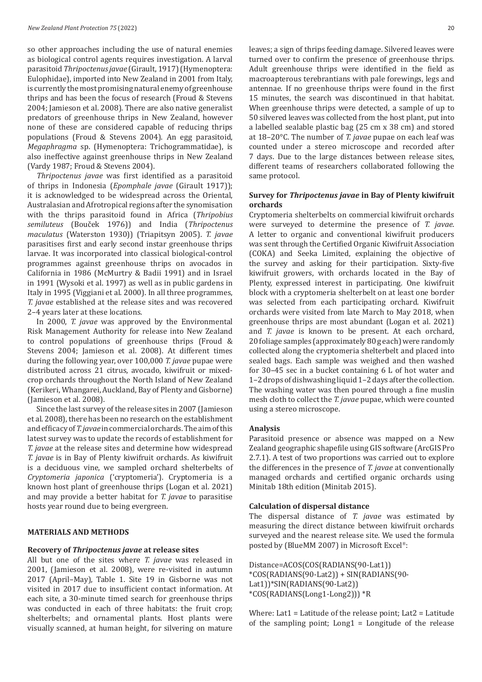so other approaches including the use of natural enemies as biological control agents requires investigation. A larval parasitoid *Thripoctenus javae* (Girault, 1917) (Hymenoptera: Eulophidae), imported into New Zealand in 2001 from Italy, is currently the most promising natural enemy of greenhouse thrips and has been the focus of research (Froud & Stevens 2004; Jamieson et al. 2008). There are also native generalist predators of greenhouse thrips in New Zealand, however none of these are considered capable of reducing thrips populations (Froud & Stevens 2004). An egg parasitoid, *Megaphragma* sp. (Hymenoptera: Trichogrammatidae), is also ineffective against greenhouse thrips in New Zealand (Vardy 1987; Froud & Stevens 2004).

*Thripoctenus javae* was first identified as a parasitoid of thrips in Indonesia (*Epomphale javae* (Girault 1917)); it is acknowledged to be widespread across the Oriental, Australasian and Afrotropical regions after the synomisation with the thrips parasitoid found in Africa (*Thripobius semiluteus* (Bouček 1976)) and India (*Thripoctenus maculatus* (Waterston 1930)) (Triapitsyn 2005). *T. javae* parasitises first and early second instar greenhouse thrips larvae. It was incorporated into classical biological-control programmes against greenhouse thrips on avocados in California in 1986 (McMurtry & Badii 1991) and in Israel in 1991 (Wysoki et al. 1997) as well as in public gardens in Italy in 1995 (Viggiani et al. 2000). In all three programmes, *T. javae* established at the release sites and was recovered 2–4 years later at these locations.

In 2000, *T. javae* was approved by the Environmental Risk Management Authority for release into New Zealand to control populations of greenhouse thrips (Froud & Stevens 2004; Jamieson et al. 2008). At different times during the following year, over 100,000 *T. javae* pupae were distributed across 21 citrus, avocado, kiwifruit or mixedcrop orchards throughout the North Island of New Zealand (Kerikeri, Whangarei, Auckland, Bay of Plenty and Gisborne) (Jamieson et al. 2008).

Since the last survey of the release sites in 2007 (Jamieson et al. 2008), there has been no research on the establishment and efficacy of *T. javae* in commercial orchards. The aim of this latest survey was to update the records of establishment for *T. javae* at the release sites and determine how widespread *T. javae* is in Bay of Plenty kiwifruit orchards. As kiwifruit is a deciduous vine, we sampled orchard shelterbelts of *Cryptomeria japonica* ('cryptomeria'). Cryptomeria is a known host plant of greenhouse thrips (Logan et al. 2021) and may provide a better habitat for *T. javae* to parasitise hosts year round due to being evergreen.

#### **MATERIALS AND METHODS**

#### **Recovery of** *Thripoctenus javae* **at release sites**

All but one of the sites where *T. javae* was released in 2001, (Jamieson et al. 2008), were re-visited in autumn 2017 (April–May), Table 1. Site 19 in Gisborne was not visited in 2017 due to insufficient contact information. At each site, a 30-minute timed search for greenhouse thrips was conducted in each of three habitats: the fruit crop; shelterbelts; and ornamental plants. Host plants were visually scanned, at human height, for silvering on mature

leaves; a sign of thrips feeding damage. Silvered leaves were turned over to confirm the presence of greenhouse thrips. Adult greenhouse thrips were identified in the field as macroapterous terebrantians with pale forewings, legs and antennae. If no greenhouse thrips were found in the first 15 minutes, the search was discontinued in that habitat. When greenhouse thrips were detected, a sample of up to 50 silvered leaves was collected from the host plant, put into a labelled sealable plastic bag (25 cm x 38 cm) and stored at 18–20°C. The number of *T. javae* pupae on each leaf was counted under a stereo microscope and recorded after 7 days. Due to the large distances between release sites, different teams of researchers collaborated following the same protocol.

# **Survey for** *Thripoctenus javae* **in Bay of Plenty kiwifruit orchards**

Cryptomeria shelterbelts on commercial kiwifruit orchards were surveyed to determine the presence of *T. javae*. A letter to organic and conventional kiwifruit producers was sent through the Certified Organic Kiwifruit Association (COKA) and Seeka Limited, explaining the objective of the survey and asking for their participation. Sixty-five kiwifruit growers, with orchards located in the Bay of Plenty, expressed interest in participating. One kiwifruit block with a cryptomeria shelterbelt on at least one border was selected from each participating orchard. Kiwifruit orchards were visited from late March to May 2018, when greenhouse thrips are most abundant (Logan et al. 2021) and *T. javae* is known to be present. At each orchard, 20 foliage samples (approximately 80 g each) were randomly collected along the cryptomeria shelterbelt and placed into sealed bags. Each sample was weighed and then washed for 30–45 sec in a bucket containing 6 L of hot water and 1–2 drops of dishwashing liquid 1–2 days after the collection. The washing water was then poured through a fine muslin mesh cloth to collect the *T. javae* pupae, which were counted using a stereo microscope.

## **Analysis**

Parasitoid presence or absence was mapped on a New Zealand geographic shapefile using GIS software (ArcGIS Pro 2.7.1). A test of two proportions was carried out to explore the differences in the presence of *T. javae* at conventionally managed orchards and certified organic orchards using Minitab 18th edition (Minitab 2015).

## **Calculation of dispersal distance**

The dispersal distance of *T. javae* was estimated by measuring the direct distance between kiwifruit orchards surveyed and the nearest release site. We used the formula posted by (BlueMM 2007) in Microsoft Excel®:

Distance=ACOS(COS(RADIANS(90-Lat1)) \*COS(RADIANS(90-Lat2)) + SIN(RADIANS(90- Lat1))\*SIN(RADIANS(90-Lat2)) \*COS(RADIANS(Long1-Long2))) \*R

Where: Lat1 = Latitude of the release point; Lat2 = Latitude of the sampling point; Long1 = Longitude of the release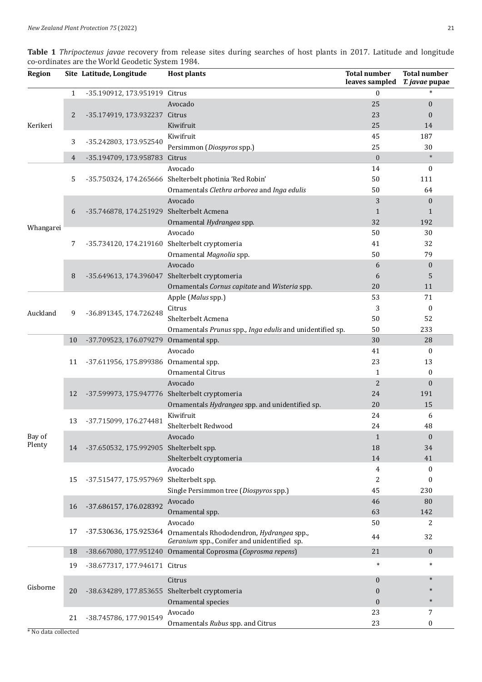| Table 1 Thripoctenus javae recovery from release sites during searches of host plants in 2017. Latitude and longitude |  |  |  |  |  |  |
|-----------------------------------------------------------------------------------------------------------------------|--|--|--|--|--|--|
| co-ordinates are the World Geodetic System 1984.                                                                      |  |  |  |  |  |  |

| <b>Region</b>    |                | Site Latitude, Longitude                       | <b>Host plants</b>                                                                                              | <b>Total number</b><br>leaves sampled | <b>Total number</b><br>T. javae pupae |  |
|------------------|----------------|------------------------------------------------|-----------------------------------------------------------------------------------------------------------------|---------------------------------------|---------------------------------------|--|
|                  | $\mathbf{1}$   | -35.190912, 173.951919 Citrus                  |                                                                                                                 | $\mathbf{0}$                          |                                       |  |
| Kerikeri         |                |                                                | Avocado                                                                                                         | 25                                    | $\mathbf{0}$                          |  |
|                  | $\overline{2}$ | -35.174919, 173.932237 Citrus                  |                                                                                                                 | 23                                    | $\Omega$                              |  |
|                  |                |                                                | Kiwifruit                                                                                                       | 25                                    | 14                                    |  |
|                  |                |                                                | Kiwifruit                                                                                                       | 45                                    | 187                                   |  |
|                  | 3              | -35.242803, 173.952540                         | Persimmon (Diospyros spp.)                                                                                      | 25                                    | 30                                    |  |
|                  | 4              | -35.194709, 173.958783                         | Citrus                                                                                                          | $\boldsymbol{0}$                      | $\ast$                                |  |
| Whangarei        |                |                                                | Avocado                                                                                                         | 14                                    | $\mathbf{0}$                          |  |
|                  | 5              |                                                | -35.750324, 174.265666 Shelterbelt photinia 'Red Robin'                                                         | 50                                    | 111                                   |  |
|                  |                |                                                | Ornamentals Clethra arborea and Inga edulis                                                                     | 50                                    | 64                                    |  |
|                  |                | -35.746878, 174.251929 Shelterbelt Acmena      | Avocado                                                                                                         | 3                                     | $\theta$                              |  |
|                  | 6              |                                                |                                                                                                                 | $\mathbf{1}$                          | 1                                     |  |
|                  |                |                                                | Ornamental Hydrangea spp.                                                                                       | 32                                    | 192                                   |  |
|                  |                |                                                | Avocado                                                                                                         | 50                                    | 30                                    |  |
|                  | 7              | -35.734120, 174.219160 Shelterbelt cryptomeria |                                                                                                                 | 41                                    | 32                                    |  |
|                  |                |                                                | Ornamental Magnolia spp.                                                                                        | 50                                    | 79                                    |  |
|                  |                | -35.649613, 174.396047 Shelterbelt cryptomeria | Avocado                                                                                                         | 6                                     | $\boldsymbol{0}$                      |  |
|                  | 8              |                                                |                                                                                                                 | 6                                     | 5                                     |  |
|                  |                |                                                | Ornamentals Cornus capitate and Wisteria spp.                                                                   | 20                                    | 11                                    |  |
| Auckland         | 9              | -36.891345, 174.726248                         | Apple (Malus spp.)                                                                                              | 53                                    | 71                                    |  |
|                  |                |                                                | Citrus                                                                                                          | 3                                     | $\bf{0}$                              |  |
|                  |                |                                                | Shelterbelt Acmena                                                                                              | 50                                    | 52                                    |  |
|                  |                |                                                | Ornamentals Prunus spp., Inga edulis and unidentified sp.                                                       | 50                                    | 233                                   |  |
|                  | 10             | -37.709523, 176.079279                         | Ornamental spp.                                                                                                 | 30                                    | 28                                    |  |
|                  |                |                                                | Avocado                                                                                                         | 41                                    | $\bf{0}$                              |  |
|                  | 11             | -37.611956, 175.899386 Ornamental spp.         |                                                                                                                 | 23                                    | 13                                    |  |
|                  |                |                                                | Ornamental Citrus                                                                                               | $\mathbf{1}$                          | 0                                     |  |
|                  |                |                                                | Avocado                                                                                                         | $\overline{2}$                        | $\mathbf{0}$                          |  |
|                  | 12             | -37.599973, 175.947776 Shelterbelt cryptomeria |                                                                                                                 | 24                                    | 191                                   |  |
| Bay of<br>Plenty |                |                                                | Ornamentals Hydrangea spp. and unidentified sp.<br>Kiwifruit                                                    | 20<br>24                              | 15                                    |  |
|                  | 13             | -37.715099, 176.274481                         | Shelterbelt Redwood                                                                                             | 24                                    | 6<br>48                               |  |
|                  |                |                                                | Avocado                                                                                                         | $\mathbf{1}$                          | $\boldsymbol{0}$                      |  |
|                  | 14             | -37.650532, 175.992905 Shelterbelt spp.        |                                                                                                                 | 18                                    | 34                                    |  |
|                  |                |                                                | Shelterbelt cryptomeria                                                                                         | 14                                    | 41                                    |  |
|                  |                |                                                | Avocado                                                                                                         | 4                                     | $\bf{0}$                              |  |
|                  | 15             | -37.515477, 175.957969                         | Shelterbelt spp.                                                                                                | 2                                     | 0                                     |  |
|                  |                |                                                | Single Persimmon tree (Diospyros spp.)                                                                          | 45                                    | 230                                   |  |
|                  |                |                                                | Avocado                                                                                                         | 46                                    | 80                                    |  |
|                  | 16             | -37.686157, 176.028392                         | Ornamental spp.                                                                                                 | 63                                    | 142                                   |  |
|                  |                |                                                | Avocado                                                                                                         | 50                                    | 2                                     |  |
|                  | 17             |                                                | -37.530636, 175.925364 Ornamentals Rhododendron, Hydrangea spp.,<br>Geranium spp., Conifer and unidentified sp. | 44                                    | 32                                    |  |
| Gisborne         | 18             | -38.667080, 177.951240                         | Ornamental Coprosma (Coprosma repens)                                                                           | 21                                    | $\mathbf{0}$                          |  |
|                  | 19             | -38.677317, 177.946171 Citrus                  |                                                                                                                 | $\ast$                                | $\ast$                                |  |
|                  |                |                                                | Citrus                                                                                                          | $\boldsymbol{0}$                      | $\ast$                                |  |
|                  | 20             | -38.634289, 177.853655 Shelterbelt cryptomeria |                                                                                                                 | 0                                     |                                       |  |
|                  |                |                                                | Ornamental species                                                                                              | $\boldsymbol{0}$                      | $\ast$                                |  |
|                  | 21             | -38.745786, 177.901549                         | Avocado                                                                                                         | 23                                    | 7                                     |  |
|                  |                |                                                | Ornamentals Rubus spp. and Citrus                                                                               | 23                                    | 0                                     |  |

\* No data collected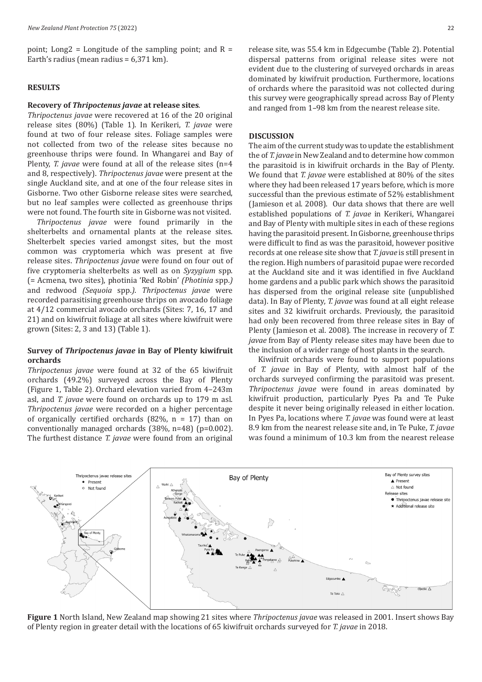point; Long2 = Longitude of the sampling point; and  $R =$ Earth's radius (mean radius = 6,371 km).

## **RESULTS**

#### **Recovery of** *Thripoctenus javae* **at release sites***.*

*Thripoctenus javae* were recovered at 16 of the 20 original release sites (80%) (Table 1). In Kerikeri, *T. javae* were found at two of four release sites. Foliage samples were not collected from two of the release sites because no greenhouse thrips were found. In Whangarei and Bay of Plenty, *T. javae* were found at all of the release sites (n=4 and 8, respectively). *Thripoctenus javae* were present at the single Auckland site, and at one of the four release sites in Gisborne. Two other Gisborne release sites were searched, but no leaf samples were collected as greenhouse thrips were not found. The fourth site in Gisborne was not visited.

*Thripoctenus javae* were found primarily in the shelterbelts and ornamental plants at the release sites. Shelterbelt species varied amongst sites, but the most common was cryptomeria which was present at five release sites. *Thripoctenus javae* were found on four out of five cryptomeria shelterbelts as well as on *Syzygium* spp. (= Acmena, two sites), photinia 'Red Robin' *(Photinia* spp.*)* and redwood *(Sequoia* spp.*)*. *Thripoctenus javae* were recorded parasitising greenhouse thrips on avocado foliage at 4/12 commercial avocado orchards (Sites: 7, 16, 17 and 21) and on kiwifruit foliage at all sites where kiwifruit were grown (Sites: 2, 3 and 13) (Table 1).

# **Survey of** *Thripoctenus javae* **in Bay of Plenty kiwifruit orchards**

*Thripoctenus javae* were found at 32 of the 65 kiwifruit orchards (49.2%) surveyed across the Bay of Plenty (Figure 1, Table 2). Orchard elevation varied from 4–243m asl, and *T. javae* were found on orchards up to 179 m asl. *Thripoctenus javae* were recorded on a higher percentage of organically certified orchards (82%,  $n = 17$ ) than on conventionally managed orchards (38%, n=48) (p=0.002). The furthest distance *T. javae* were found from an original

release site, was 55.4 km in Edgecumbe (Table 2). Potential dispersal patterns from original release sites were not evident due to the clustering of surveyed orchards in areas dominated by kiwifruit production. Furthermore, locations of orchards where the parasitoid was not collected during this survey were geographically spread across Bay of Plenty and ranged from 1–98 km from the nearest release site.

## **DISCUSSION**

The aim of the current study was to update the establishment the of *T. javae* in New Zealand and to determine how common the parasitoid is in kiwifruit orchards in the Bay of Plenty. We found that *T. javae* were established at 80% of the sites where they had been released 17 years before, which is more successful than the previous estimate of 52% establishment (Jamieson et al. 2008). Our data shows that there are well established populations of *T. javae* in Kerikeri, Whangarei and Bay of Plenty with multiple sites in each of these regions having the parasitoid present. In Gisborne, greenhouse thrips were difficult to find as was the parasitoid, however positive records at one release site show that *T. javae* is still present in the region. High numbers of parasitoid pupae were recorded at the Auckland site and it was identified in five Auckland home gardens and a public park which shows the parasitoid has dispersed from the original release site (unpublished data). In Bay of Plenty, *T. javae* was found at all eight release sites and 32 kiwifruit orchards. Previously, the parasitoid had only been recovered from three release sites in Bay of Plenty (Jamieson et al. 2008). The increase in recovery of *T. javae* from Bay of Plenty release sites may have been due to the inclusion of a wider range of host plants in the search.

Kiwifruit orchards were found to support populations of *T. javae* in Bay of Plenty, with almost half of the orchards surveyed confirming the parasitoid was present. *Thripoctenus javae* were found in areas dominated by kiwifruit production, particularly Pyes Pa and Te Puke despite it never being originally released in either location. In Pyes Pa, locations where *T. javae* was found were at least 8.9 km from the nearest release site and, in Te Puke, *T. javae* was found a minimum of 10.3 km from the nearest release



**Figure 1** North Island, New Zealand map showing 21 sites where *Thripoctenus javae* was released in 2001. Insert shows Bay of Plenty region in greater detail with the locations of 65 kiwifruit orchards surveyed for *T. javae* in 2018.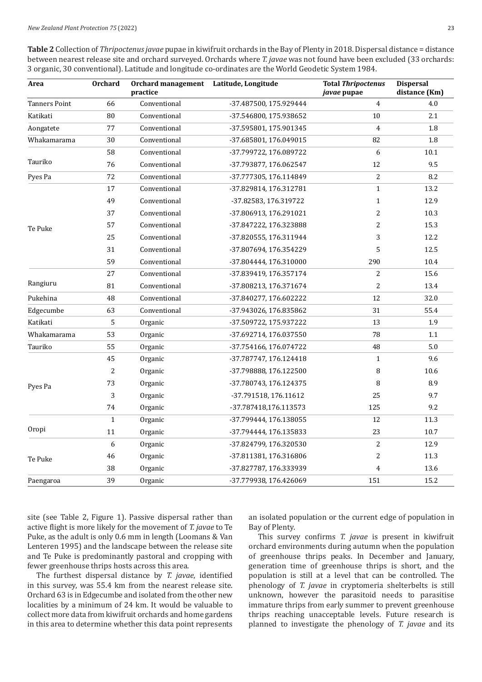**Table 2** Collection of *Thripoctenus javae* pupae in kiwifruit orchards in the Bay of Plenty in 2018. Dispersal distance = distance between nearest release site and orchard surveyed. Orchards where *T. javae* was not found have been excluded (33 orchards: 3 organic, 30 conventional). Latitude and longitude co-ordinates are the World Geodetic System 1984.

| Area                 | <b>Orchard</b> | Orchard management<br>practice | Latitude, Longitude    | <b>Total Thripoctenus</b><br><i>javae</i> pupae | <b>Dispersal</b><br>distance (Km) |
|----------------------|----------------|--------------------------------|------------------------|-------------------------------------------------|-----------------------------------|
| <b>Tanners Point</b> | 66             | Conventional                   | -37.487500, 175.929444 | $\overline{4}$                                  | 4.0                               |
| Katikati             | 80             | Conventional                   | -37.546800, 175.938652 | 10                                              | 2.1                               |
| Aongatete            | 77             | Conventional                   | -37.595801, 175.901345 | $\overline{4}$                                  | $1.8\,$                           |
| Whakamarama          | 30             | Conventional                   | -37.685801, 176.049015 | 82                                              | $1.8\,$                           |
|                      | 58             | Conventional                   | -37.799722, 176.089722 | 6                                               | 10.1                              |
| Tauriko              | 76             | Conventional                   | -37.793877, 176.062547 | 12                                              | 9.5                               |
| Pyes Pa              | 72             | Conventional                   | -37.777305, 176.114849 | $\overline{c}$                                  | 8.2                               |
|                      | 17             | Conventional                   | -37.829814, 176.312781 | $\mathbf{1}$                                    | 13.2                              |
|                      | 49             | Conventional                   | -37.82583, 176.319722  | $\mathbf{1}$                                    | 12.9                              |
|                      | 37             | Conventional                   | -37.806913, 176.291021 | $\overline{2}$                                  | 10.3                              |
| Te Puke              | 57             | Conventional                   | -37.847222, 176.323888 | 2                                               | 15.3                              |
|                      | 25             | Conventional                   | -37.820555, 176.311944 | 3                                               | 12.2                              |
|                      | 31             | Conventional                   | -37.807694, 176.354229 | 5                                               | 12.5                              |
|                      | 59             | Conventional                   | -37.804444, 176.310000 | 290                                             | 10.4                              |
|                      | 27             | Conventional                   | -37.839419, 176.357174 | 2                                               | 15.6                              |
| Rangiuru             | 81             | Conventional                   | -37.808213, 176.371674 | 2                                               | 13.4                              |
| Pukehina             | 48             | Conventional                   | -37.840277, 176.602222 | 12                                              | 32.0                              |
| Edgecumbe            | 63             | Conventional                   | -37.943026, 176.835862 | 31                                              | 55.4                              |
| Katikati             | 5              | Organic                        | -37.509722, 175.937222 | 13                                              | 1.9                               |
| Whakamarama          | 53             | Organic                        | -37.692714, 176.037550 | 78                                              | 1.1                               |
| Tauriko              | 55             | Organic                        | -37.754166, 176.074722 | 48                                              | $5.0\,$                           |
|                      | 45             | Organic                        | -37.787747, 176.124418 | $\mathbf{1}$                                    | 9.6                               |
|                      | $\overline{c}$ | Organic                        | -37.798888, 176.122500 | 8                                               | 10.6                              |
| Pyes Pa              | 73             | Organic                        | -37.780743, 176.124375 | 8                                               | 8.9                               |
|                      | 3              | Organic                        | -37.791518, 176.11612  | 25                                              | 9.7                               |
|                      | 74             | Organic                        | -37.787418,176.113573  | 125                                             | 9.2                               |
|                      | $\mathbf 1$    | Organic                        | -37.799444, 176.138055 | 12                                              | 11.3                              |
| Oropi                | 11             | Organic                        | -37.794444, 176.135833 | 23                                              | 10.7                              |
|                      | 6              | Organic                        | -37.824799, 176.320530 | 2                                               | 12.9                              |
| Te Puke              | 46             | Organic                        | -37.811381, 176.316806 | 2                                               | 11.3                              |
|                      | 38             | Organic                        | -37.827787, 176.333939 | $\overline{4}$                                  | 13.6                              |
| Paengaroa            | 39             | Organic                        | -37.779938, 176.426069 | 151                                             | 15.2                              |

site (see Table 2, Figure 1). Passive dispersal rather than active flight is more likely for the movement of *T. javae* to Te Puke, as the adult is only 0.6 mm in length (Loomans & Van Lenteren 1995) and the landscape between the release site and Te Puke is predominantly pastoral and cropping with fewer greenhouse thrips hosts across this area.

The furthest dispersal distance by *T. javae*, identified in this survey, was 55.4 km from the nearest release site. Orchard 63 is in Edgecumbe and isolated from the other new localities by a minimum of 24 km. It would be valuable to collect more data from kiwifruit orchards and home gardens in this area to determine whether this data point represents an isolated population or the current edge of population in Bay of Plenty.

This survey confirms *T. javae* is present in kiwifruit orchard environments during autumn when the population of greenhouse thrips peaks. In December and January, generation time of greenhouse thrips is short, and the population is still at a level that can be controlled. The phenology of *T. javae* in cryptomeria shelterbelts is still unknown, however the parasitoid needs to parasitise immature thrips from early summer to prevent greenhouse thrips reaching unacceptable levels. Future research is planned to investigate the phenology of *T. javae* and its